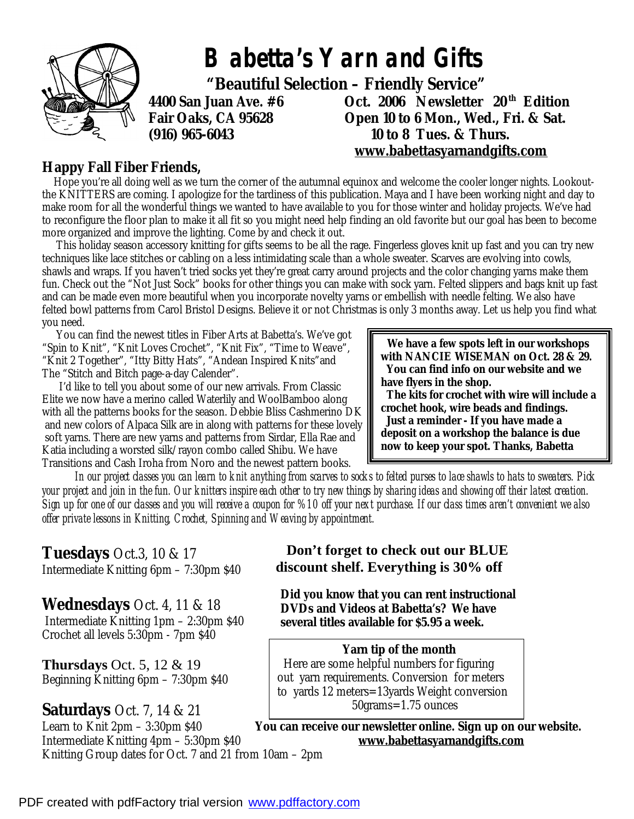

#### **Happy Fall Fiber Friends,**

Hope you're all doing well as we turn the corner of the autumnal equinox and welcome the cooler longer nights. Lookoutthe KNITTERS are coming. I apologize for the tardiness of this publication. Maya and I have been working night and day to make room for all the wonderful things we wanted to have available to you for those winter and holiday projects. We've had to reconfigure the floor plan to make it all fit so you might need help finding an old favorite but our goal has been to become more organized and improve the lighting. Come by and check it out.

 This holiday season accessory knitting for gifts seems to be all the rage. Fingerless gloves knit up fast and you can try new techniques like lace stitches or cabling on a less intimidating scale than a whole sweater. Scarves are evolving into cowls, shawls and wraps. If you haven't tried socks yet they're great carry around projects and the color changing yarns make them fun. Check out the "Not Just Sock" books for other things you can make with sock yarn. Felted slippers and bags knit up fast and can be made even more beautiful when you incorporate novelty yarns or embellish with needle felting. We also have felted bowl patterns from Carol Bristol Designs. Believe it or not Christmas is only 3 months away. Let us help you find what you need.

 You can find the newest titles in Fiber Arts at Babetta's. We've got "Spin to Knit", "Knit Loves Crochet", "Knit Fix", "Time to Weave", "Knit 2 Together", "Itty Bitty Hats", "Andean Inspired Knits"and The "Stitch and Bitch page-a-day Calender".

 I'd like to tell you about some of our new arrivals. From Classic Elite we now have a merino called Waterlily and WoolBamboo along with all the patterns books for the season. Debbie Bliss Cashmerino DK and new colors of Alpaca Silk are in along with patterns for these lovely soft yarns. There are new yarns and patterns from Sirdar, Ella Rae and Katia including a worsted silk/rayon combo called Shibu. We have Transitions and Cash Iroha from Noro and the newest pattern books.

 **We have a few spots left in our workshops with** *NANCIE WISEMAN* **on Oct. 28 & 29. You can find info on our website and we have flyers in the shop.** 

 **The kits for crochet with wire will include a crochet hook, wire beads and findings. Just a reminder - If you have made a** 

**deposit on a workshop the balance is due now to keep your spot. Thanks, Babetta** 

 *In our project classes you can learn to knit anything from scarves to socks to felted purses to lace shawls to hats to sweaters. Pick your project and join in the fun. Our knitters inspire each other to try new things by sharing ideas and showing off their latest creation. Sign up for one of our classes and you will receive a coupon for %10 off your next purchase. If our class times aren't convenient we also offer private lessons in Knitting, Crochet, Spinning and Weaving by appointment.* 

### **Tuesdays** Oct.3, 10 & 17 Intermediate Knitting 6pm – 7:30pm \$40

# **Wednesdays** Oct. 4, 11 & 18

 Intermediate Knitting 1pm – 2:30pm \$40 Crochet all levels 5:30pm - 7pm \$40

**Thursdays** Oct. 5, 12 & 19 Beginning Knitting 6pm – 7:30pm \$40

## **Saturdays** Oct. 7, 14 & 21

Intermediate Knitting 4pm – 5:30pm \$40 **[www.babettasyarnandgifts.com](http://www.babettasyarnandgifts.com)** Knitting Group dates for Oct. 7 and 21 from 10am – 2pm

 **Don't forget to check out our BLUE discount shelf. Everything is 30% off** 

**Did you know that you can rent instructional DVDs and Videos at Babetta's? We have several titles available for \$5.95 a week.** 

#### **Yarn tip of the month**

 Here are some helpful numbers for figuring out yarn requirements. Conversion for meters to yards 12 meters=13yards Weight conversion 50grams=1.75 ounces

Learn to Knit 2pm – 3:30pm \$40 **You can receive our newsletter online. Sign up on our website.**